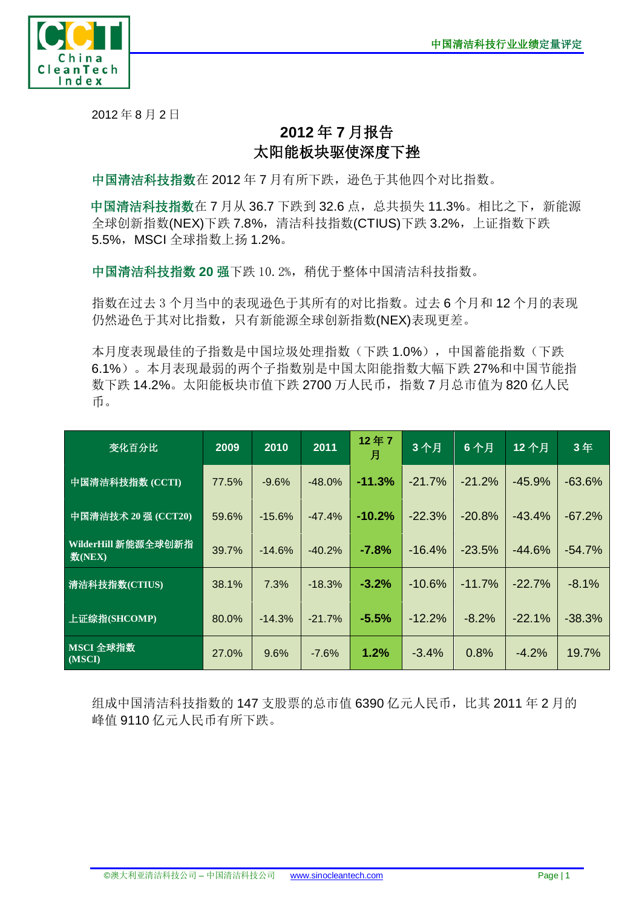

2012 年 8 月 2 日

## **2012** 年 **7** 月报告 太阳能板块驱使深度下挫

中国清洁科技指数在 2012 年 7 月有所下跌, 逊色于其他四个对比指数。

中国清洁科技指数在 7 月从 36.7 下跌到 32.6 点, 总共损失 11.3%。相比之下, 新能源 全球创新指数(NEX)下跌 7.8%,清洁科技指数(CTIUS)下跌 3.2%, 上证指数下跌 5.5%, MSCI 全球指数上扬 1.2%。

中国清洁科技指数 20 强下跌 10.2%,稍优于整体中国清洁科技指数。

指数在过去 3 个月当中的表现逊色于其所有的对比指数。过去 6 个月和 12 个月的表现 仍然逊色于其对比指数,只有新能源全球创新指数(NEX)表现更差。

本月度表现最佳的子指数是中国垃圾处理指数(下跌 1.0%),中国蓄能指数(下跌 6.1%)。本月表现最弱的两个子指数别是中国太阳能指数大幅下跌 27%和中国节能指 数下跌 14.2%。太阳能板块市值下跌 2700 万人民币,指数 7 月总市值为 820 亿人民 币。

| 变化百分比                         | 2009  | 2010     | 2011     | 12年7<br>月 | 3个月      | 6个月      | 12个月     | 3年       |
|-------------------------------|-------|----------|----------|-----------|----------|----------|----------|----------|
| 中国清洁科技指数 (CCTI)               | 77.5% | $-9.6%$  | $-48.0%$ | $-11.3%$  | $-21.7%$ | $-21.2%$ | $-45.9%$ | $-63.6%$ |
| 中国清洁技术 20 强 (CCT20)           | 59.6% | $-15.6%$ | $-47.4%$ | $-10.2%$  | $-22.3%$ | $-20.8%$ | $-43.4%$ | $-67.2%$ |
| WilderHill 新能源全球创新指<br>数(NEX) | 39.7% | $-14.6%$ | $-40.2%$ | $-7.8%$   | $-16.4%$ | $-23.5%$ | $-44.6%$ | $-54.7%$ |
| 清洁科技指数(CTIUS)                 | 38.1% | 7.3%     | $-18.3%$ | $-3.2%$   | $-10.6%$ | $-11.7%$ | $-22.7%$ | $-8.1%$  |
| 上证综指(SHCOMP)                  | 80.0% | $-14.3%$ | $-21.7%$ | $-5.5%$   | $-12.2%$ | $-8.2%$  | $-22.1%$ | $-38.3%$ |
| MSCI 全球指数<br>(MSCI)           | 27.0% | 9.6%     | $-7.6%$  | 1.2%      | $-3.4%$  | 0.8%     | $-4.2%$  | 19.7%    |

组成中国清洁科技指数的 147 支股票的总市值 6390 亿元人民币,比其 2011 年 2 月的 峰值 9110 亿元人民币有所下跌。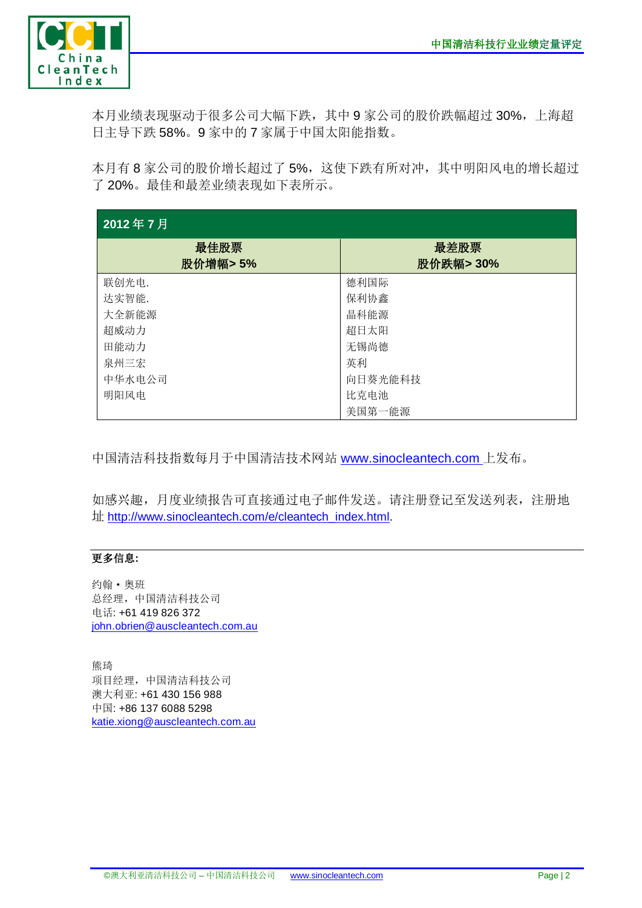

本月业绩表现驱动于很多公司大幅下跌,其中 9 家公司的股价跌幅超过 30%,上海超 日主导下跌 58%。9 家中的 7 家属于中国太阳能指数。

本月有 8 家公司的股价增长超过了 5%,这使下跌有所对冲,其中明阳风电的增长超过 了 20%。最佳和最差业绩表现如下表所示。

| 2012年7月         |                   |  |  |  |  |  |
|-----------------|-------------------|--|--|--|--|--|
| 最佳股票<br>股价增幅>5% | 最差股票<br>股价跌幅> 30% |  |  |  |  |  |
| 联创光电.           | 德利国际              |  |  |  |  |  |
| 达实智能.           | 保利协鑫              |  |  |  |  |  |
| 大全新能源           | 晶科能源              |  |  |  |  |  |
| 超威动力            | 超日太阳              |  |  |  |  |  |
| 田能动力            | 无锡尚德              |  |  |  |  |  |
| 泉州三宏            | 英利                |  |  |  |  |  |
| 中华水电公司          | 向日葵光能科技           |  |  |  |  |  |
| 明阳风电            | 比克电池              |  |  |  |  |  |
|                 | 美国第一能源            |  |  |  |  |  |

中国清洁科技指数每月于中国清洁技术网站 [www.sinocleantech.com](http://www.sinocleantech.com/) 上发布。

如感兴趣,月度业绩报告可直接通过电子邮件发送。请注册登记至发送列表,注册地 址 [http://www.sinocleantech.com/e/cleantech\\_index.html.](http://www.sinocleantech.com/e/cleantech_index.html)

## 更多信息**:**

约翰·奥班 总经理,中国清洁科技公司 电话: +61 419 826 372 [john.obrien@auscleantech.com.au](mailto:john.obrien@auscleantech.com.au)

熊琦 项目经理,中国清洁科技公司 澳大利亚: +61 430 156 988 中国: +86 137 6088 5298 [katie.xiong@auscleantech.com.au](mailto:katie.xiong@auscleantech.com.au)